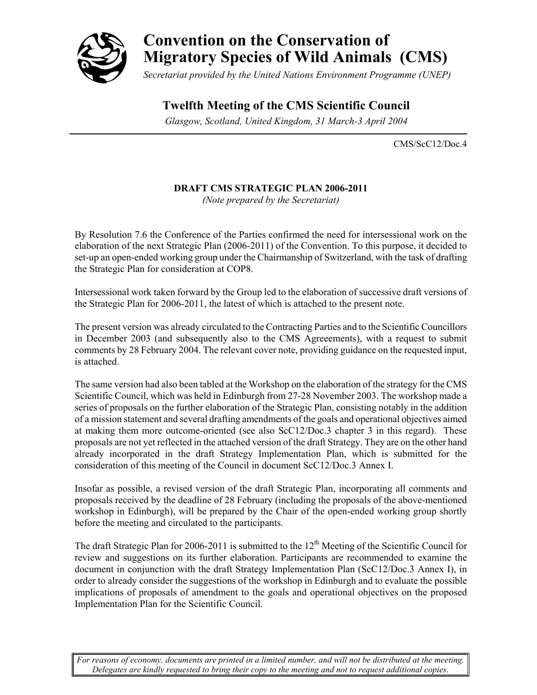

# **Convention on the Conservation of Migratory Species of Wild Animals (CMS)**

*Secretariat provided by the United Nations Environment Programme (UNEP)*

### **Twelfth Meeting of the CMS Scientific Council**

 *Glasgow, Scotland, United Kingdom, 31 March-3 April 2004*

CMS/ScC12/Doc.4

#### **DRAFT CMS STRATEGIC PLAN 2006-2011**

*(Note prepared by the Secretariat)* 

By Resolution 7.6 the Conference of the Parties confirmed the need for intersessional work on the elaboration of the next Strategic Plan (2006-2011) of the Convention. To this purpose, it decided to set-up an open-ended working group under the Chairmanship of Switzerland, with the task of drafting the Strategic Plan for consideration at COP8.

Intersessional work taken forward by the Group led to the elaboration of successive draft versions of the Strategic Plan for 2006-2011, the latest of which is attached to the present note.

The present version was already circulated to the Contracting Parties and to the Scientific Councillors in December 2003 (and subsequently also to the CMS Agreeements), with a request to submit comments by 28 February 2004. The relevant cover note, providing guidance on the requested input, is attached.

The same version had also been tabled at the Workshop on the elaboration of the strategy for the CMS Scientific Council, which was held in Edinburgh from 27-28 November 2003. The workshop made a series of proposals on the further elaboration of the Strategic Plan, consisting notably in the addition of a mission statement and several drafting amendments of the goals and operational objectives aimed at making them more outcome-oriented (see also ScC12/Doc.3 chapter 3 in this regard). These proposals are not yet reflected in the attached version of the draft Strategy. They are on the other hand already incorporated in the draft Strategy Implementation Plan, which is submitted for the consideration of this meeting of the Council in document ScC12/Doc.3 Annex I.

Insofar as possible, a revised version of the draft Strategic Plan, incorporating all comments and proposals received by the deadline of 28 February (including the proposals of the above-mentioned workshop in Edinburgh), will be prepared by the Chair of the open-ended working group shortly before the meeting and circulated to the participants.

The draft Strategic Plan for 2006-2011 is submitted to the  $12<sup>th</sup>$  Meeting of the Scientific Council for review and suggestions on its further elaboration. Participants are recommended to examine the document in conjunction with the draft Strategy Implementation Plan (ScC12/Doc.3 Annex I), in order to already consider the suggestions of the workshop in Edinburgh and to evaluate the possible implications of proposals of amendment to the goals and operational objectives on the proposed Implementation Plan for the Scientific Council.

*For reasons of economy, documents are printed in a limited number, and will not be distributed at the meeting. Delegates are kindly requested to bring their copy to the meeting and not to request additional copies.*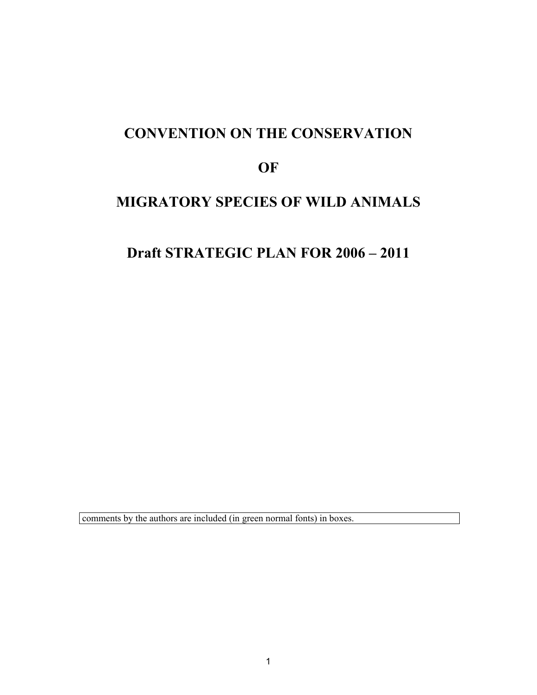# **CONVENTION ON THE CONSERVATION**

### **OF**

### **MIGRATORY SPECIES OF WILD ANIMALS**

### **Draft STRATEGIC PLAN FOR 2006 – 2011**

comments by the authors are included (in green normal fonts) in boxes.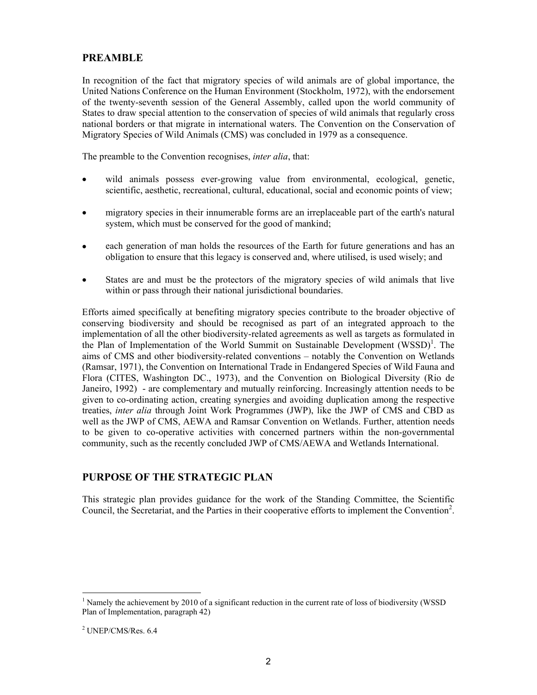#### **PREAMBLE**

In recognition of the fact that migratory species of wild animals are of global importance, the United Nations Conference on the Human Environment (Stockholm, 1972), with the endorsement of the twenty-seventh session of the General Assembly, called upon the world community of States to draw special attention to the conservation of species of wild animals that regularly cross national borders or that migrate in international waters. The Convention on the Conservation of Migratory Species of Wild Animals (CMS) was concluded in 1979 as a consequence.

The preamble to the Convention recognises, *inter alia*, that:

- wild animals possess ever-growing value from environmental, ecological, genetic, scientific, aesthetic, recreational, cultural, educational, social and economic points of view;
- migratory species in their innumerable forms are an irreplaceable part of the earth's natural system, which must be conserved for the good of mankind;
- each generation of man holds the resources of the Earth for future generations and has an obligation to ensure that this legacy is conserved and, where utilised, is used wisely; and
- States are and must be the protectors of the migratory species of wild animals that live within or pass through their national jurisdictional boundaries.

Efforts aimed specifically at benefiting migratory species contribute to the broader objective of conserving biodiversity and should be recognised as part of an integrated approach to the implementation of all the other biodiversity-related agreements as well as targets as formulated in the Plan of Implementation of the World Summit on Sustainable Development (WSSD)<sup>1</sup>. The aims of CMS and other biodiversity-related conventions – notably the Convention on Wetlands (Ramsar, 1971), the Convention on International Trade in Endangered Species of Wild Fauna and Flora (CITES, Washington DC., 1973), and the Convention on Biological Diversity (Rio de Janeiro, 1992) - are complementary and mutually reinforcing. Increasingly attention needs to be given to co-ordinating action, creating synergies and avoiding duplication among the respective treaties, *inter alia* through Joint Work Programmes (JWP), like the JWP of CMS and CBD as well as the JWP of CMS, AEWA and Ramsar Convention on Wetlands. Further, attention needs to be given to co-operative activities with concerned partners within the non-governmental community, such as the recently concluded JWP of CMS/AEWA and Wetlands International.

#### **PURPOSE OF THE STRATEGIC PLAN**

This strategic plan provides guidance for the work of the Standing Committee, the Scientific Council, the Secretariat, and the Parties in their cooperative efforts to implement the Convention<sup>2</sup>.

-

<sup>&</sup>lt;sup>1</sup> Namely the achievement by 2010 of a significant reduction in the current rate of loss of biodiversity (WSSD Plan of Implementation, paragraph 42)

<sup>2</sup> UNEP/CMS/Res. 6.4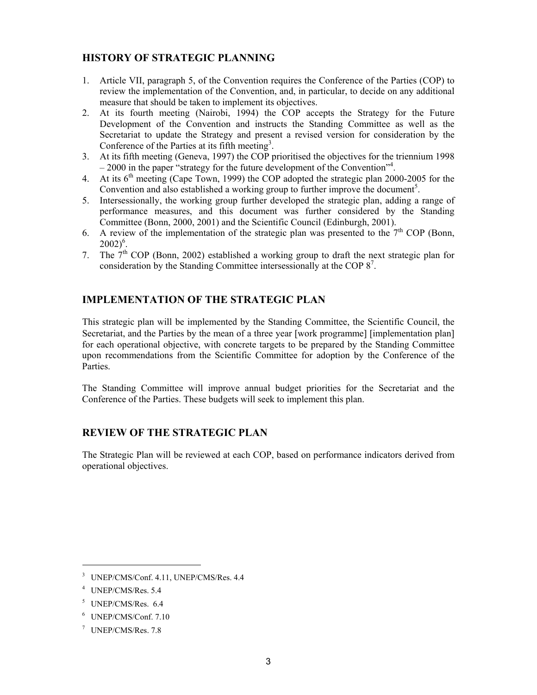#### **HISTORY OF STRATEGIC PLANNING**

- 1. Article VII, paragraph 5, of the Convention requires the Conference of the Parties (COP) to review the implementation of the Convention, and, in particular, to decide on any additional measure that should be taken to implement its objectives.
- 2. At its fourth meeting (Nairobi, 1994) the COP accepts the Strategy for the Future Development of the Convention and instructs the Standing Committee as well as the Secretariat to update the Strategy and present a revised version for consideration by the Conference of the Parties at its fifth meeting<sup>3</sup>.
- 3. At its fifth meeting (Geneva, 1997) the COP prioritised the objectives for the triennium 1998 – 2000 in the paper "strategy for the future development of the Convention"<sup>4</sup>.
- 4. At its  $6<sup>th</sup>$  meeting (Cape Town, 1999) the COP adopted the strategic plan 2000-2005 for the Convention and also established a working group to further improve the document<sup>5</sup>.
- 5. Intersessionally, the working group further developed the strategic plan, adding a range of performance measures, and this document was further considered by the Standing Committee (Bonn, 2000, 2001) and the Scientific Council (Edinburgh, 2001).
- 6. A review of the implementation of the strategic plan was presented to the  $7<sup>th</sup>$  COP (Bonn,  $2002)^6$ .
- 7. The  $7<sup>th</sup>$  COP (Bonn, 2002) established a working group to draft the next strategic plan for consideration by the Standing Committee intersessionally at the COP 8<sup>7</sup>.

#### **IMPLEMENTATION OF THE STRATEGIC PLAN**

This strategic plan will be implemented by the Standing Committee, the Scientific Council, the Secretariat, and the Parties by the mean of a three year [work programme] [implementation plan] for each operational objective, with concrete targets to be prepared by the Standing Committee upon recommendations from the Scientific Committee for adoption by the Conference of the Parties.

The Standing Committee will improve annual budget priorities for the Secretariat and the Conference of the Parties. These budgets will seek to implement this plan.

#### **REVIEW OF THE STRATEGIC PLAN**

The Strategic Plan will be reviewed at each COP, based on performance indicators derived from operational objectives.

<u>.</u>

<sup>3</sup> UNEP/CMS/Conf. 4.11, UNEP/CMS/Res. 4.4

<sup>4</sup> UNEP/CMS/Res. 5.4

<sup>5</sup> UNEP/CMS/Res. 6.4

<sup>6</sup> UNEP/CMS/Conf. 7.10

<sup>7</sup> UNEP/CMS/Res. 7.8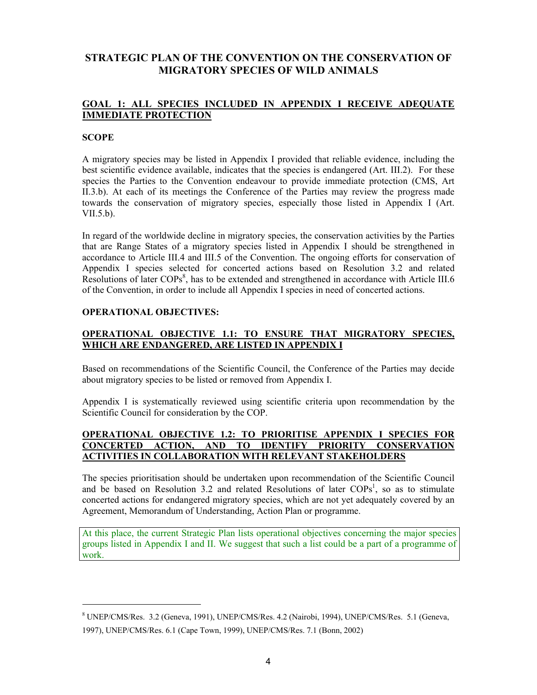#### **STRATEGIC PLAN OF THE CONVENTION ON THE CONSERVATION OF MIGRATORY SPECIES OF WILD ANIMALS**

#### **GOAL 1: ALL SPECIES INCLUDED IN APPENDIX I RECEIVE ADEQUATE IMMEDIATE PROTECTION**

#### **SCOPE**

-

A migratory species may be listed in Appendix I provided that reliable evidence, including the best scientific evidence available, indicates that the species is endangered (Art. III.2). For these species the Parties to the Convention endeavour to provide immediate protection (CMS, Art II.3.b). At each of its meetings the Conference of the Parties may review the progress made towards the conservation of migratory species, especially those listed in Appendix I (Art. VII.5.b).

In regard of the worldwide decline in migratory species, the conservation activities by the Parties that are Range States of a migratory species listed in Appendix I should be strengthened in accordance to Article III.4 and III.5 of the Convention. The ongoing efforts for conservation of Appendix I species selected for concerted actions based on Resolution 3.2 and related Resolutions of later COPs<sup>8</sup>, has to be extended and strengthened in accordance with Article III.6 of the Convention, in order to include all Appendix I species in need of concerted actions.

#### **OPERATIONAL OBJECTIVES:**

#### **OPERATIONAL OBJECTIVE 1.1: TO ENSURE THAT MIGRATORY SPECIES, WHICH ARE ENDANGERED, ARE LISTED IN APPENDIX I**

Based on recommendations of the Scientific Council, the Conference of the Parties may decide about migratory species to be listed or removed from Appendix I.

Appendix I is systematically reviewed using scientific criteria upon recommendation by the Scientific Council for consideration by the COP.

#### **OPERATIONAL OBJECTIVE 1.2: TO PRIORITISE APPENDIX I SPECIES FOR CONCERTED ACTION, AND TO IDENTIFY PRIORITY CONSERVATION ACTIVITIES IN COLLABORATION WITH RELEVANT STAKEHOLDERS**

The species prioritisation should be undertaken upon recommendation of the Scientific Council and be based on Resolution 3.2 and related Resolutions of later COPs<sup>1</sup>, so as to stimulate concerted actions for endangered migratory species, which are not yet adequately covered by an Agreement, Memorandum of Understanding, Action Plan or programme.

At this place, the current Strategic Plan lists operational objectives concerning the major species groups listed in Appendix I and II. We suggest that such a list could be a part of a programme of work.

<sup>8</sup> UNEP/CMS/Res. 3.2 (Geneva, 1991), UNEP/CMS/Res. 4.2 (Nairobi, 1994), UNEP/CMS/Res. 5.1 (Geneva, 1997), UNEP/CMS/Res. 6.1 (Cape Town, 1999), UNEP/CMS/Res. 7.1 (Bonn, 2002)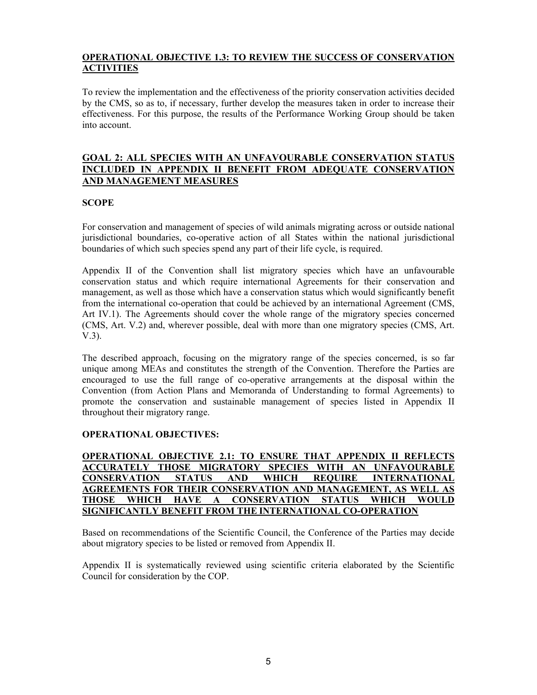#### **OPERATIONAL OBJECTIVE 1.3: TO REVIEW THE SUCCESS OF CONSERVATION ACTIVITIES**

To review the implementation and the effectiveness of the priority conservation activities decided by the CMS, so as to, if necessary, further develop the measures taken in order to increase their effectiveness. For this purpose, the results of the Performance Working Group should be taken into account.

#### **GOAL 2: ALL SPECIES WITH AN UNFAVOURABLE CONSERVATION STATUS INCLUDED IN APPENDIX II BENEFIT FROM ADEQUATE CONSERVATION AND MANAGEMENT MEASURES**

#### **SCOPE**

For conservation and management of species of wild animals migrating across or outside national jurisdictional boundaries, co-operative action of all States within the national jurisdictional boundaries of which such species spend any part of their life cycle, is required.

Appendix II of the Convention shall list migratory species which have an unfavourable conservation status and which require international Agreements for their conservation and management, as well as those which have a conservation status which would significantly benefit from the international co-operation that could be achieved by an international Agreement (CMS, Art IV.1). The Agreements should cover the whole range of the migratory species concerned (CMS, Art. V.2) and, wherever possible, deal with more than one migratory species (CMS, Art. V.3).

The described approach, focusing on the migratory range of the species concerned, is so far unique among MEAs and constitutes the strength of the Convention. Therefore the Parties are encouraged to use the full range of co-operative arrangements at the disposal within the Convention (from Action Plans and Memoranda of Understanding to formal Agreements) to promote the conservation and sustainable management of species listed in Appendix II throughout their migratory range.

#### **OPERATIONAL OBJECTIVES:**

**OPERATIONAL OBJECTIVE 2.1: TO ENSURE THAT APPENDIX II REFLECTS ACCURATELY THOSE MIGRATORY SPECIES WITH AN UNFAVOURABLE CONSERVATION STATUS AND WHICH REQUIRE INTERNATIONAL AGREEMENTS FOR THEIR CONSERVATION AND MANAGEMENT, AS WELL AS THOSE WHICH HAVE A CONSERVATION STATUS WHICH WOULD SIGNIFICANTLY BENEFIT FROM THE INTERNATIONAL CO-OPERATION**

Based on recommendations of the Scientific Council, the Conference of the Parties may decide about migratory species to be listed or removed from Appendix II.

Appendix II is systematically reviewed using scientific criteria elaborated by the Scientific Council for consideration by the COP.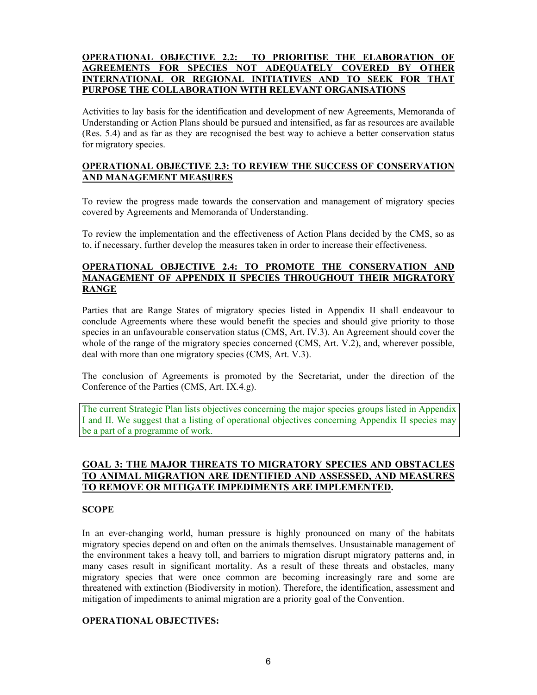#### **OPERATIONAL OBJECTIVE 2.2: TO PRIORITISE THE ELABORATION OF AGREEMENTS FOR SPECIES NOT ADEQUATELY COVERED BY OTHER INTERNATIONAL OR REGIONAL INITIATIVES AND TO SEEK FOR THAT PURPOSE THE COLLABORATION WITH RELEVANT ORGANISATIONS**

Activities to lay basis for the identification and development of new Agreements, Memoranda of Understanding or Action Plans should be pursued and intensified, as far as resources are available (Res. 5.4) and as far as they are recognised the best way to achieve a better conservation status for migratory species.

#### **OPERATIONAL OBJECTIVE 2.3: TO REVIEW THE SUCCESS OF CONSERVATION AND MANAGEMENT MEASURES**

To review the progress made towards the conservation and management of migratory species covered by Agreements and Memoranda of Understanding.

To review the implementation and the effectiveness of Action Plans decided by the CMS, so as to, if necessary, further develop the measures taken in order to increase their effectiveness.

#### **OPERATIONAL OBJECTIVE 2.4: TO PROMOTE THE CONSERVATION AND MANAGEMENT OF APPENDIX II SPECIES THROUGHOUT THEIR MIGRATORY RANGE**

Parties that are Range States of migratory species listed in Appendix II shall endeavour to conclude Agreements where these would benefit the species and should give priority to those species in an unfavourable conservation status (CMS, Art. IV.3). An Agreement should cover the whole of the range of the migratory species concerned (CMS, Art. V.2), and, wherever possible, deal with more than one migratory species (CMS, Art. V.3).

The conclusion of Agreements is promoted by the Secretariat, under the direction of the Conference of the Parties (CMS, Art. IX.4.g).

The current Strategic Plan lists objectives concerning the major species groups listed in Appendix I and II. We suggest that a listing of operational objectives concerning Appendix II species may be a part of a programme of work.

#### **GOAL 3: THE MAJOR THREATS TO MIGRATORY SPECIES AND OBSTACLES TO ANIMAL MIGRATION ARE IDENTIFIED AND ASSESSED, AND MEASURES TO REMOVE OR MITIGATE IMPEDIMENTS ARE IMPLEMENTED.**

#### **SCOPE**

In an ever-changing world, human pressure is highly pronounced on many of the habitats migratory species depend on and often on the animals themselves. Unsustainable management of the environment takes a heavy toll, and barriers to migration disrupt migratory patterns and, in many cases result in significant mortality. As a result of these threats and obstacles, many migratory species that were once common are becoming increasingly rare and some are threatened with extinction (Biodiversity in motion). Therefore, the identification, assessment and mitigation of impediments to animal migration are a priority goal of the Convention.

#### **OPERATIONAL OBJECTIVES:**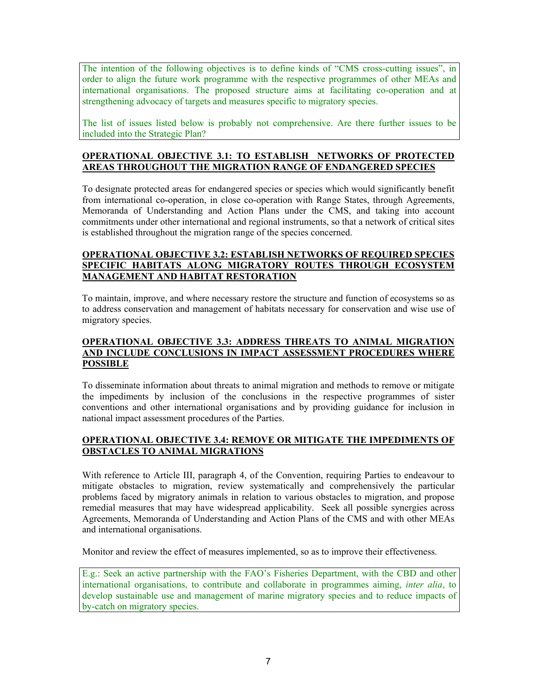The intention of the following objectives is to define kinds of "CMS cross-cutting issues", in order to align the future work programme with the respective programmes of other MEAs and international organisations. The proposed structure aims at facilitating co-operation and at strengthening advocacy of targets and measures specific to migratory species.

The list of issues listed below is probably not comprehensive. Are there further issues to be included into the Strategic Plan?

#### **OPERATIONAL OBJECTIVE 3.1: TO ESTABLISH NETWORKS OF PROTECTED AREAS THROUGHOUT THE MIGRATION RANGE OF ENDANGERED SPECIES**

To designate protected areas for endangered species or species which would significantly benefit from international co-operation, in close co-operation with Range States, through Agreements, Memoranda of Understanding and Action Plans under the CMS, and taking into account commitments under other international and regional instruments, so that a network of critical sites is established throughout the migration range of the species concerned.

#### **OPERATIONAL OBJECTIVE 3.2: ESTABLISH NETWORKS OF REQUIRED SPECIES SPECIFIC HABITATS ALONG MIGRATORY ROUTES THROUGH ECOSYSTEM MANAGEMENT AND HABITAT RESTORATION**

To maintain, improve, and where necessary restore the structure and function of ecosystems so as to address conservation and management of habitats necessary for conservation and wise use of migratory species.

#### **OPERATIONAL OBJECTIVE 3.3: ADDRESS THREATS TO ANIMAL MIGRATION AND INCLUDE CONCLUSIONS IN IMPACT ASSESSMENT PROCEDURES WHERE POSSIBLE**

To disseminate information about threats to animal migration and methods to remove or mitigate the impediments by inclusion of the conclusions in the respective programmes of sister conventions and other international organisations and by providing guidance for inclusion in national impact assessment procedures of the Parties.

#### **OPERATIONAL OBJECTIVE 3.4: REMOVE OR MITIGATE THE IMPEDIMENTS OF OBSTACLES TO ANIMAL MIGRATIONS**

With reference to Article III, paragraph 4, of the Convention, requiring Parties to endeavour to mitigate obstacles to migration, review systematically and comprehensively the particular problems faced by migratory animals in relation to various obstacles to migration, and propose remedial measures that may have widespread applicability. Seek all possible synergies across Agreements, Memoranda of Understanding and Action Plans of the CMS and with other MEAs and international organisations.

Monitor and review the effect of measures implemented, so as to improve their effectiveness.

E.g.: Seek an active partnership with the FAO's Fisheries Department, with the CBD and other international organisations, to contribute and collaborate in programmes aiming, *inter alia*, to develop sustainable use and management of marine migratory species and to reduce impacts of by-catch on migratory species.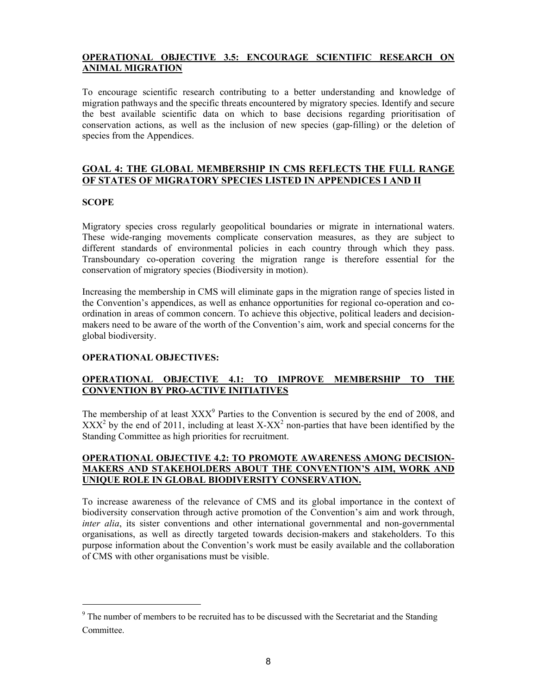#### **OPERATIONAL OBJECTIVE 3.5: ENCOURAGE SCIENTIFIC RESEARCH ON ANIMAL MIGRATION**

To encourage scientific research contributing to a better understanding and knowledge of migration pathways and the specific threats encountered by migratory species. Identify and secure the best available scientific data on which to base decisions regarding prioritisation of conservation actions, as well as the inclusion of new species (gap-filling) or the deletion of species from the Appendices.

#### **GOAL 4: THE GLOBAL MEMBERSHIP IN CMS REFLECTS THE FULL RANGE OF STATES OF MIGRATORY SPECIES LISTED IN APPENDICES I AND II**

#### **SCOPE**

-

Migratory species cross regularly geopolitical boundaries or migrate in international waters. These wide-ranging movements complicate conservation measures, as they are subject to different standards of environmental policies in each country through which they pass. Transboundary co-operation covering the migration range is therefore essential for the conservation of migratory species (Biodiversity in motion).

Increasing the membership in CMS will eliminate gaps in the migration range of species listed in the Convention's appendices, as well as enhance opportunities for regional co-operation and coordination in areas of common concern. To achieve this objective, political leaders and decisionmakers need to be aware of the worth of the Convention's aim, work and special concerns for the global biodiversity.

#### **OPERATIONAL OBJECTIVES:**

#### **OPERATIONAL OBJECTIVE 4.1: TO IMPROVE MEMBERSHIP TO THE CONVENTION BY PRO-ACTIVE INITIATIVES**

The membership of at least  $XXX<sup>9</sup>$  Parties to the Convention is secured by the end of 2008, and  $XXX<sup>2</sup>$  by the end of 2011, including at least  $X-XX<sup>2</sup>$  non-parties that have been identified by the Standing Committee as high priorities for recruitment.

#### **OPERATIONAL OBJECTIVE 4.2: TO PROMOTE AWARENESS AMONG DECISION-MAKERS AND STAKEHOLDERS ABOUT THE CONVENTION'S AIM, WORK AND UNIQUE ROLE IN GLOBAL BIODIVERSITY CONSERVATION.**

To increase awareness of the relevance of CMS and its global importance in the context of biodiversity conservation through active promotion of the Convention's aim and work through, *inter alia*, its sister conventions and other international governmental and non-governmental organisations, as well as directly targeted towards decision-makers and stakeholders. To this purpose information about the Convention's work must be easily available and the collaboration of CMS with other organisations must be visible.

 $9<sup>9</sup>$  The number of members to be recruited has to be discussed with the Secretariat and the Standing **Committee**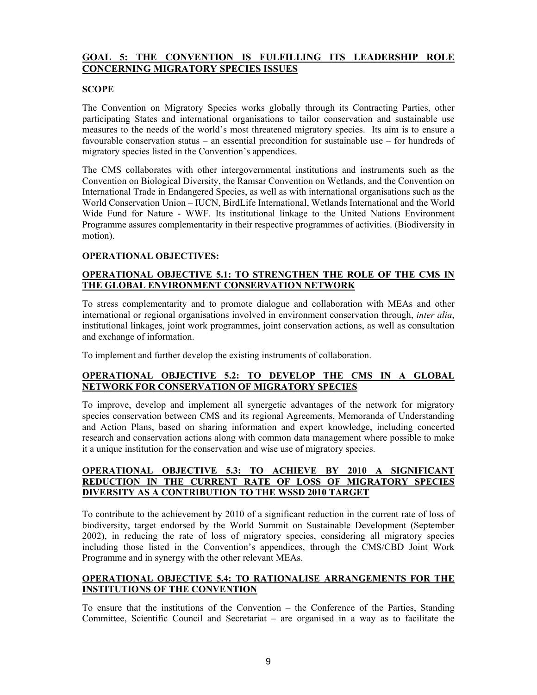#### **GOAL 5: THE CONVENTION IS FULFILLING ITS LEADERSHIP ROLE CONCERNING MIGRATORY SPECIES ISSUES**

#### **SCOPE**

The Convention on Migratory Species works globally through its Contracting Parties, other participating States and international organisations to tailor conservation and sustainable use measures to the needs of the world's most threatened migratory species. Its aim is to ensure a favourable conservation status – an essential precondition for sustainable use – for hundreds of migratory species listed in the Convention's appendices.

The CMS collaborates with other intergovernmental institutions and instruments such as the Convention on Biological Diversity, the Ramsar Convention on Wetlands, and the Convention on International Trade in Endangered Species, as well as with international organisations such as the World Conservation Union – IUCN, BirdLife International, Wetlands International and the World Wide Fund for Nature - WWF. Its institutional linkage to the United Nations Environment Programme assures complementarity in their respective programmes of activities. (Biodiversity in motion).

#### **OPERATIONAL OBJECTIVES:**

#### **OPERATIONAL OBJECTIVE 5.1: TO STRENGTHEN THE ROLE OF THE CMS IN THE GLOBAL ENVIRONMENT CONSERVATION NETWORK**

To stress complementarity and to promote dialogue and collaboration with MEAs and other international or regional organisations involved in environment conservation through, *inter alia*, institutional linkages, joint work programmes, joint conservation actions, as well as consultation and exchange of information.

To implement and further develop the existing instruments of collaboration.

#### **OPERATIONAL OBJECTIVE 5.2: TO DEVELOP THE CMS IN A GLOBAL NETWORK FOR CONSERVATION OF MIGRATORY SPECIES**

To improve, develop and implement all synergetic advantages of the network for migratory species conservation between CMS and its regional Agreements, Memoranda of Understanding and Action Plans, based on sharing information and expert knowledge, including concerted research and conservation actions along with common data management where possible to make it a unique institution for the conservation and wise use of migratory species.

#### **OPERATIONAL OBJECTIVE 5.3: TO ACHIEVE BY 2010 A SIGNIFICANT REDUCTION IN THE CURRENT RATE OF LOSS OF MIGRATORY SPECIES DIVERSITY AS A CONTRIBUTION TO THE WSSD 2010 TARGET**

To contribute to the achievement by 2010 of a significant reduction in the current rate of loss of biodiversity, target endorsed by the World Summit on Sustainable Development (September 2002), in reducing the rate of loss of migratory species, considering all migratory species including those listed in the Convention's appendices, through the CMS/CBD Joint Work Programme and in synergy with the other relevant MEAs.

#### **OPERATIONAL OBJECTIVE 5.4: TO RATIONALISE ARRANGEMENTS FOR THE INSTITUTIONS OF THE CONVENTION**

To ensure that the institutions of the Convention – the Conference of the Parties, Standing Committee, Scientific Council and Secretariat – are organised in a way as to facilitate the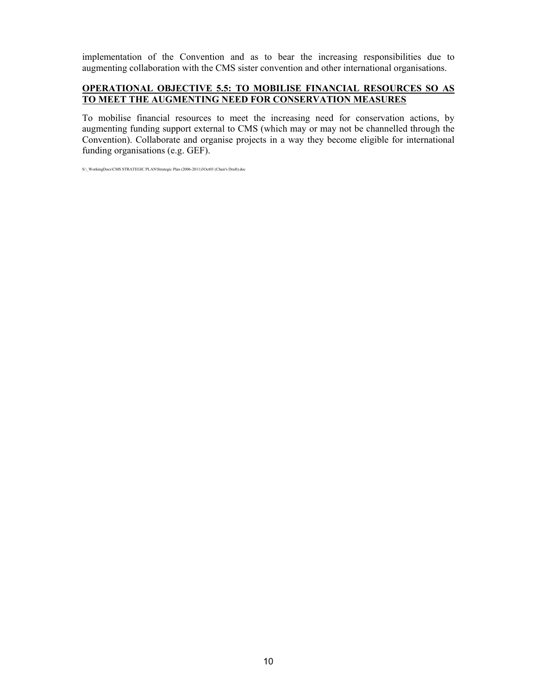implementation of the Convention and as to bear the increasing responsibilities due to augmenting collaboration with the CMS sister convention and other international organisations.

#### **OPERATIONAL OBJECTIVE 5.5: TO MOBILISE FINANCIAL RESOURCES SO AS TO MEET THE AUGMENTING NEED FOR CONSERVATION MEASURES**

To mobilise financial resources to meet the increasing need for conservation actions, by augmenting funding support external to CMS (which may or may not be channelled through the Convention). Collaborate and organise projects in a way they become eligible for international funding organisations (e.g. GEF).

S:\\_WorkingDocs\CMS STRATEGIC PLAN\Strategic Plan (2006-2011)3Oct03 (Chair's Draft).doc